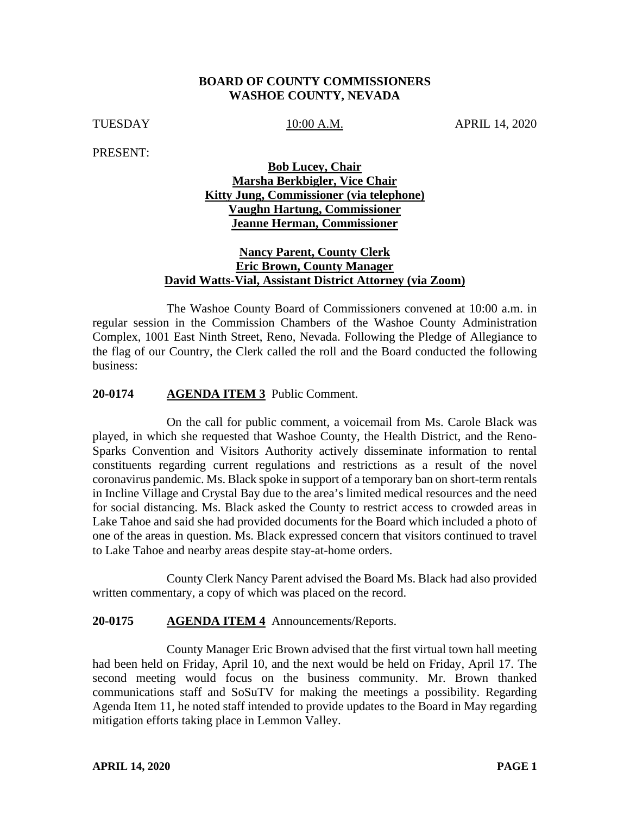## **BOARD OF COUNTY COMMISSIONERS WASHOE COUNTY, NEVADA**

TUESDAY 10:00 A.M. APRIL 14, 2020

PRESENT:

## **Bob Lucey, Chair Marsha Berkbigler, Vice Chair Kitty Jung, Commissioner (via telephone) Vaughn Hartung, Commissioner Jeanne Herman, Commissioner**

## **Nancy Parent, County Clerk Eric Brown, County Manager David Watts-Vial, Assistant District Attorney (via Zoom)**

The Washoe County Board of Commissioners convened at 10:00 a.m. in regular session in the Commission Chambers of the Washoe County Administration Complex, 1001 East Ninth Street, Reno, Nevada. Following the Pledge of Allegiance to the flag of our Country, the Clerk called the roll and the Board conducted the following business:

### **20-0174 AGENDA ITEM 3** Public Comment.

On the call for public comment, a voicemail from Ms. Carole Black was played, in which she requested that Washoe County, the Health District, and the Reno-Sparks Convention and Visitors Authority actively disseminate information to rental constituents regarding current regulations and restrictions as a result of the novel coronavirus pandemic. Ms. Black spoke in support of a temporary ban on short-term rentals in Incline Village and Crystal Bay due to the area's limited medical resources and the need for social distancing. Ms. Black asked the County to restrict access to crowded areas in Lake Tahoe and said she had provided documents for the Board which included a photo of one of the areas in question. Ms. Black expressed concern that visitors continued to travel to Lake Tahoe and nearby areas despite stay-at-home orders.

County Clerk Nancy Parent advised the Board Ms. Black had also provided written commentary, a copy of which was placed on the record.

### **20-0175 AGENDA ITEM 4** Announcements/Reports.

County Manager Eric Brown advised that the first virtual town hall meeting had been held on Friday, April 10, and the next would be held on Friday, April 17. The second meeting would focus on the business community. Mr. Brown thanked communications staff and SoSuTV for making the meetings a possibility. Regarding Agenda Item 11, he noted staff intended to provide updates to the Board in May regarding mitigation efforts taking place in Lemmon Valley.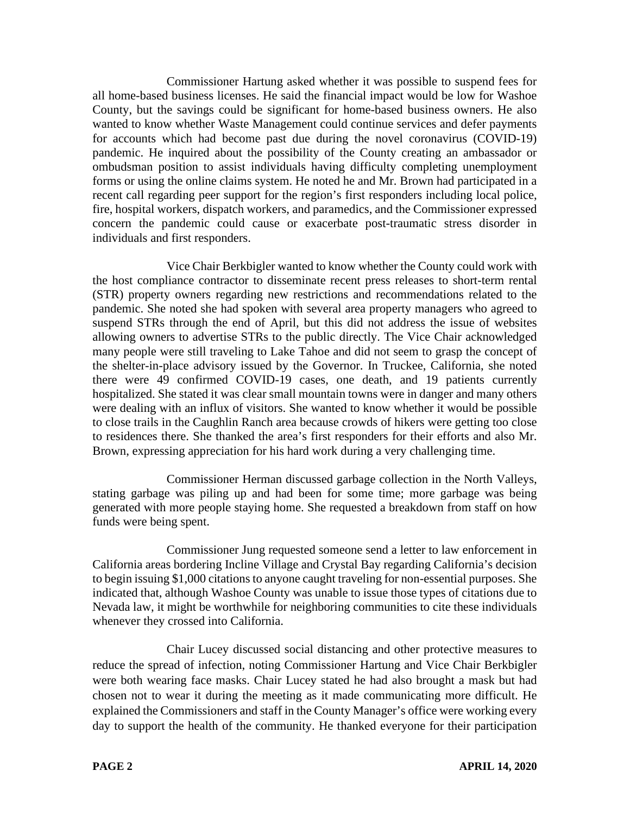Commissioner Hartung asked whether it was possible to suspend fees for all home-based business licenses. He said the financial impact would be low for Washoe County, but the savings could be significant for home-based business owners. He also wanted to know whether Waste Management could continue services and defer payments for accounts which had become past due during the novel coronavirus (COVID-19) pandemic. He inquired about the possibility of the County creating an ambassador or ombudsman position to assist individuals having difficulty completing unemployment forms or using the online claims system. He noted he and Mr. Brown had participated in a recent call regarding peer support for the region's first responders including local police, fire, hospital workers, dispatch workers, and paramedics, and the Commissioner expressed concern the pandemic could cause or exacerbate post-traumatic stress disorder in individuals and first responders.

Vice Chair Berkbigler wanted to know whether the County could work with the host compliance contractor to disseminate recent press releases to short-term rental (STR) property owners regarding new restrictions and recommendations related to the pandemic. She noted she had spoken with several area property managers who agreed to suspend STRs through the end of April, but this did not address the issue of websites allowing owners to advertise STRs to the public directly. The Vice Chair acknowledged many people were still traveling to Lake Tahoe and did not seem to grasp the concept of the shelter-in-place advisory issued by the Governor. In Truckee, California, she noted there were 49 confirmed COVID-19 cases, one death, and 19 patients currently hospitalized. She stated it was clear small mountain towns were in danger and many others were dealing with an influx of visitors. She wanted to know whether it would be possible to close trails in the Caughlin Ranch area because crowds of hikers were getting too close to residences there. She thanked the area's first responders for their efforts and also Mr. Brown, expressing appreciation for his hard work during a very challenging time.

Commissioner Herman discussed garbage collection in the North Valleys, stating garbage was piling up and had been for some time; more garbage was being generated with more people staying home. She requested a breakdown from staff on how funds were being spent.

Commissioner Jung requested someone send a letter to law enforcement in California areas bordering Incline Village and Crystal Bay regarding California's decision to begin issuing \$1,000 citations to anyone caught traveling for non-essential purposes. She indicated that, although Washoe County was unable to issue those types of citations due to Nevada law, it might be worthwhile for neighboring communities to cite these individuals whenever they crossed into California.

Chair Lucey discussed social distancing and other protective measures to reduce the spread of infection, noting Commissioner Hartung and Vice Chair Berkbigler were both wearing face masks. Chair Lucey stated he had also brought a mask but had chosen not to wear it during the meeting as it made communicating more difficult. He explained the Commissioners and staff in the County Manager's office were working every day to support the health of the community. He thanked everyone for their participation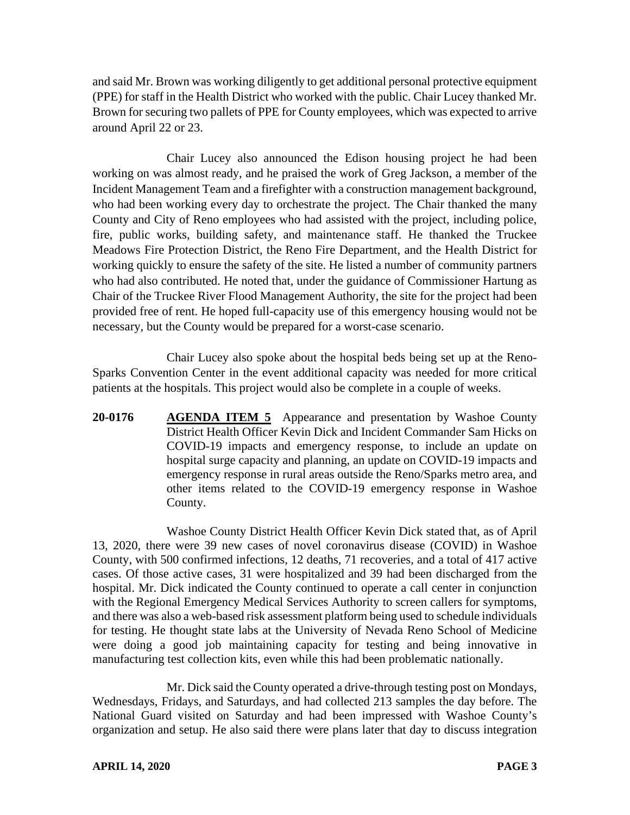and said Mr. Brown was working diligently to get additional personal protective equipment (PPE) for staff in the Health District who worked with the public. Chair Lucey thanked Mr. Brown for securing two pallets of PPE for County employees, which was expected to arrive around April 22 or 23.

Chair Lucey also announced the Edison housing project he had been working on was almost ready, and he praised the work of Greg Jackson, a member of the Incident Management Team and a firefighter with a construction management background, who had been working every day to orchestrate the project. The Chair thanked the many County and City of Reno employees who had assisted with the project, including police, fire, public works, building safety, and maintenance staff. He thanked the Truckee Meadows Fire Protection District, the Reno Fire Department, and the Health District for working quickly to ensure the safety of the site. He listed a number of community partners who had also contributed. He noted that, under the guidance of Commissioner Hartung as Chair of the Truckee River Flood Management Authority, the site for the project had been provided free of rent. He hoped full-capacity use of this emergency housing would not be necessary, but the County would be prepared for a worst-case scenario.

Chair Lucey also spoke about the hospital beds being set up at the Reno-Sparks Convention Center in the event additional capacity was needed for more critical patients at the hospitals. This project would also be complete in a couple of weeks.

**20-0176 AGENDA ITEM 5** Appearance and presentation by Washoe County District Health Officer Kevin Dick and Incident Commander Sam Hicks on COVID-19 impacts and emergency response, to include an update on hospital surge capacity and planning, an update on COVID-19 impacts and emergency response in rural areas outside the Reno/Sparks metro area, and other items related to the COVID-19 emergency response in Washoe County.

Washoe County District Health Officer Kevin Dick stated that, as of April 13, 2020, there were 39 new cases of novel coronavirus disease (COVID) in Washoe County, with 500 confirmed infections, 12 deaths, 71 recoveries, and a total of 417 active cases. Of those active cases, 31 were hospitalized and 39 had been discharged from the hospital. Mr. Dick indicated the County continued to operate a call center in conjunction with the Regional Emergency Medical Services Authority to screen callers for symptoms, and there was also a web-based risk assessment platform being used to schedule individuals for testing. He thought state labs at the University of Nevada Reno School of Medicine were doing a good job maintaining capacity for testing and being innovative in manufacturing test collection kits, even while this had been problematic nationally.

Mr. Dick said the County operated a drive-through testing post on Mondays, Wednesdays, Fridays, and Saturdays, and had collected 213 samples the day before. The National Guard visited on Saturday and had been impressed with Washoe County's organization and setup. He also said there were plans later that day to discuss integration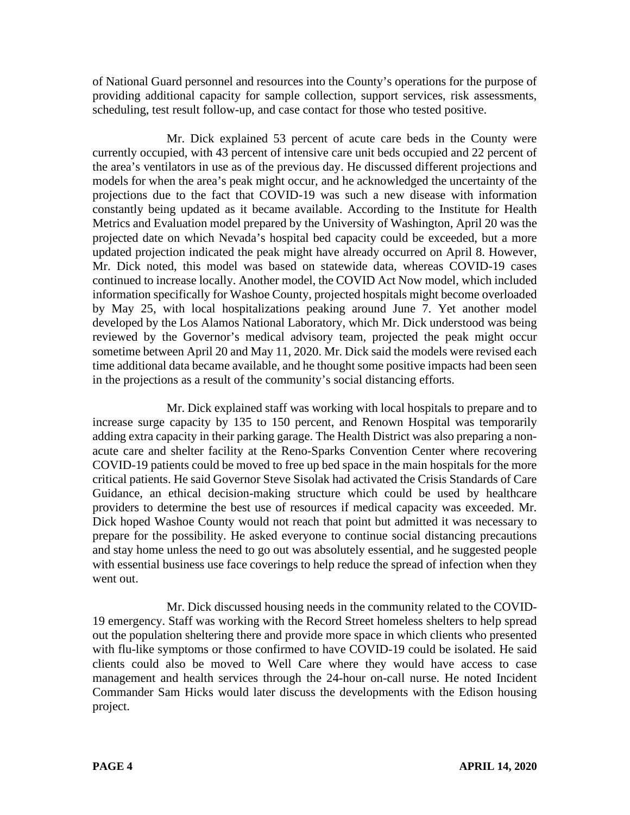of National Guard personnel and resources into the County's operations for the purpose of providing additional capacity for sample collection, support services, risk assessments, scheduling, test result follow-up, and case contact for those who tested positive.

Mr. Dick explained 53 percent of acute care beds in the County were currently occupied, with 43 percent of intensive care unit beds occupied and 22 percent of the area's ventilators in use as of the previous day. He discussed different projections and models for when the area's peak might occur, and he acknowledged the uncertainty of the projections due to the fact that COVID-19 was such a new disease with information constantly being updated as it became available. According to the Institute for Health Metrics and Evaluation model prepared by the University of Washington, April 20 was the projected date on which Nevada's hospital bed capacity could be exceeded, but a more updated projection indicated the peak might have already occurred on April 8. However, Mr. Dick noted, this model was based on statewide data, whereas COVID-19 cases continued to increase locally. Another model, the COVID Act Now model, which included information specifically for Washoe County, projected hospitals might become overloaded by May 25, with local hospitalizations peaking around June 7. Yet another model developed by the Los Alamos National Laboratory, which Mr. Dick understood was being reviewed by the Governor's medical advisory team, projected the peak might occur sometime between April 20 and May 11, 2020. Mr. Dick said the models were revised each time additional data became available, and he thought some positive impacts had been seen in the projections as a result of the community's social distancing efforts.

Mr. Dick explained staff was working with local hospitals to prepare and to increase surge capacity by 135 to 150 percent, and Renown Hospital was temporarily adding extra capacity in their parking garage. The Health District was also preparing a nonacute care and shelter facility at the Reno-Sparks Convention Center where recovering COVID-19 patients could be moved to free up bed space in the main hospitals for the more critical patients. He said Governor Steve Sisolak had activated the Crisis Standards of Care Guidance, an ethical decision-making structure which could be used by healthcare providers to determine the best use of resources if medical capacity was exceeded. Mr. Dick hoped Washoe County would not reach that point but admitted it was necessary to prepare for the possibility. He asked everyone to continue social distancing precautions and stay home unless the need to go out was absolutely essential, and he suggested people with essential business use face coverings to help reduce the spread of infection when they went out.

Mr. Dick discussed housing needs in the community related to the COVID-19 emergency. Staff was working with the Record Street homeless shelters to help spread out the population sheltering there and provide more space in which clients who presented with flu-like symptoms or those confirmed to have COVID-19 could be isolated. He said clients could also be moved to Well Care where they would have access to case management and health services through the 24-hour on-call nurse. He noted Incident Commander Sam Hicks would later discuss the developments with the Edison housing project.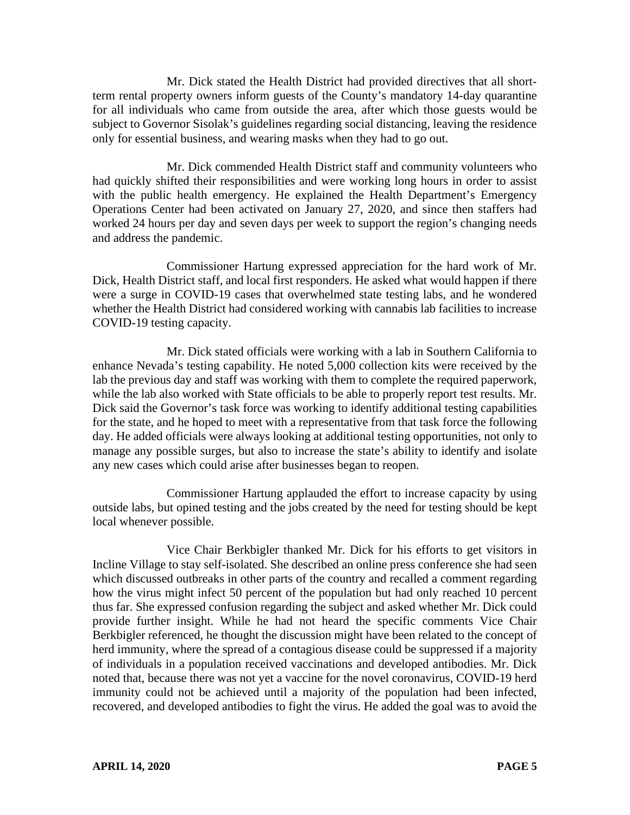Mr. Dick stated the Health District had provided directives that all shortterm rental property owners inform guests of the County's mandatory 14-day quarantine for all individuals who came from outside the area, after which those guests would be subject to Governor Sisolak's guidelines regarding social distancing, leaving the residence only for essential business, and wearing masks when they had to go out.

Mr. Dick commended Health District staff and community volunteers who had quickly shifted their responsibilities and were working long hours in order to assist with the public health emergency. He explained the Health Department's Emergency Operations Center had been activated on January 27, 2020, and since then staffers had worked 24 hours per day and seven days per week to support the region's changing needs and address the pandemic.

Commissioner Hartung expressed appreciation for the hard work of Mr. Dick, Health District staff, and local first responders. He asked what would happen if there were a surge in COVID-19 cases that overwhelmed state testing labs, and he wondered whether the Health District had considered working with cannabis lab facilities to increase COVID-19 testing capacity.

Mr. Dick stated officials were working with a lab in Southern California to enhance Nevada's testing capability. He noted 5,000 collection kits were received by the lab the previous day and staff was working with them to complete the required paperwork, while the lab also worked with State officials to be able to properly report test results. Mr. Dick said the Governor's task force was working to identify additional testing capabilities for the state, and he hoped to meet with a representative from that task force the following day. He added officials were always looking at additional testing opportunities, not only to manage any possible surges, but also to increase the state's ability to identify and isolate any new cases which could arise after businesses began to reopen.

Commissioner Hartung applauded the effort to increase capacity by using outside labs, but opined testing and the jobs created by the need for testing should be kept local whenever possible.

Vice Chair Berkbigler thanked Mr. Dick for his efforts to get visitors in Incline Village to stay self-isolated. She described an online press conference she had seen which discussed outbreaks in other parts of the country and recalled a comment regarding how the virus might infect 50 percent of the population but had only reached 10 percent thus far. She expressed confusion regarding the subject and asked whether Mr. Dick could provide further insight. While he had not heard the specific comments Vice Chair Berkbigler referenced, he thought the discussion might have been related to the concept of herd immunity, where the spread of a contagious disease could be suppressed if a majority of individuals in a population received vaccinations and developed antibodies. Mr. Dick noted that, because there was not yet a vaccine for the novel coronavirus, COVID-19 herd immunity could not be achieved until a majority of the population had been infected, recovered, and developed antibodies to fight the virus. He added the goal was to avoid the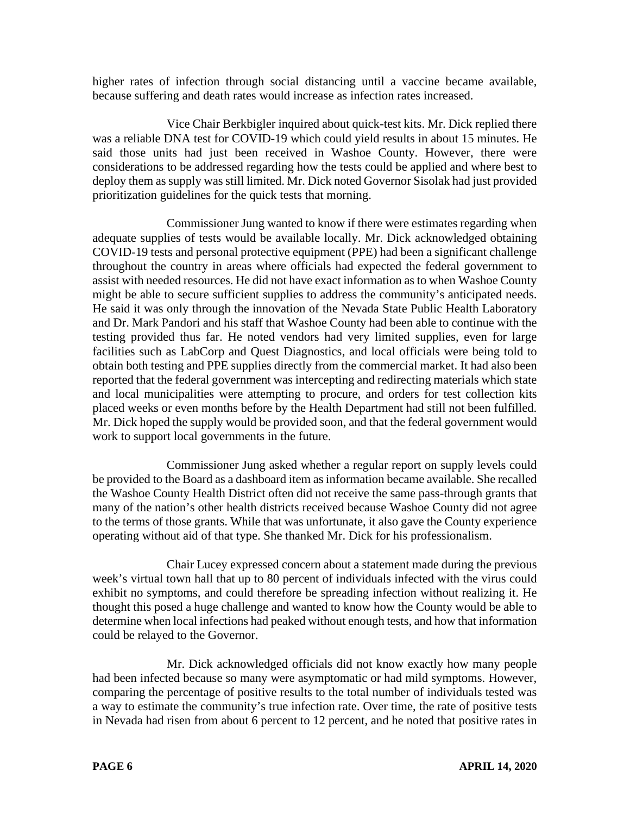higher rates of infection through social distancing until a vaccine became available, because suffering and death rates would increase as infection rates increased.

Vice Chair Berkbigler inquired about quick-test kits. Mr. Dick replied there was a reliable DNA test for COVID-19 which could yield results in about 15 minutes. He said those units had just been received in Washoe County. However, there were considerations to be addressed regarding how the tests could be applied and where best to deploy them as supply was still limited. Mr. Dick noted Governor Sisolak had just provided prioritization guidelines for the quick tests that morning.

Commissioner Jung wanted to know if there were estimates regarding when adequate supplies of tests would be available locally. Mr. Dick acknowledged obtaining COVID-19 tests and personal protective equipment (PPE) had been a significant challenge throughout the country in areas where officials had expected the federal government to assist with needed resources. He did not have exact information as to when Washoe County might be able to secure sufficient supplies to address the community's anticipated needs. He said it was only through the innovation of the Nevada State Public Health Laboratory and Dr. Mark Pandori and his staff that Washoe County had been able to continue with the testing provided thus far. He noted vendors had very limited supplies, even for large facilities such as LabCorp and Quest Diagnostics, and local officials were being told to obtain both testing and PPE supplies directly from the commercial market. It had also been reported that the federal government was intercepting and redirecting materials which state and local municipalities were attempting to procure, and orders for test collection kits placed weeks or even months before by the Health Department had still not been fulfilled. Mr. Dick hoped the supply would be provided soon, and that the federal government would work to support local governments in the future.

Commissioner Jung asked whether a regular report on supply levels could be provided to the Board as a dashboard item as information became available. She recalled the Washoe County Health District often did not receive the same pass-through grants that many of the nation's other health districts received because Washoe County did not agree to the terms of those grants. While that was unfortunate, it also gave the County experience operating without aid of that type. She thanked Mr. Dick for his professionalism.

Chair Lucey expressed concern about a statement made during the previous week's virtual town hall that up to 80 percent of individuals infected with the virus could exhibit no symptoms, and could therefore be spreading infection without realizing it. He thought this posed a huge challenge and wanted to know how the County would be able to determine when local infections had peaked without enough tests, and how that information could be relayed to the Governor.

Mr. Dick acknowledged officials did not know exactly how many people had been infected because so many were asymptomatic or had mild symptoms. However, comparing the percentage of positive results to the total number of individuals tested was a way to estimate the community's true infection rate. Over time, the rate of positive tests in Nevada had risen from about 6 percent to 12 percent, and he noted that positive rates in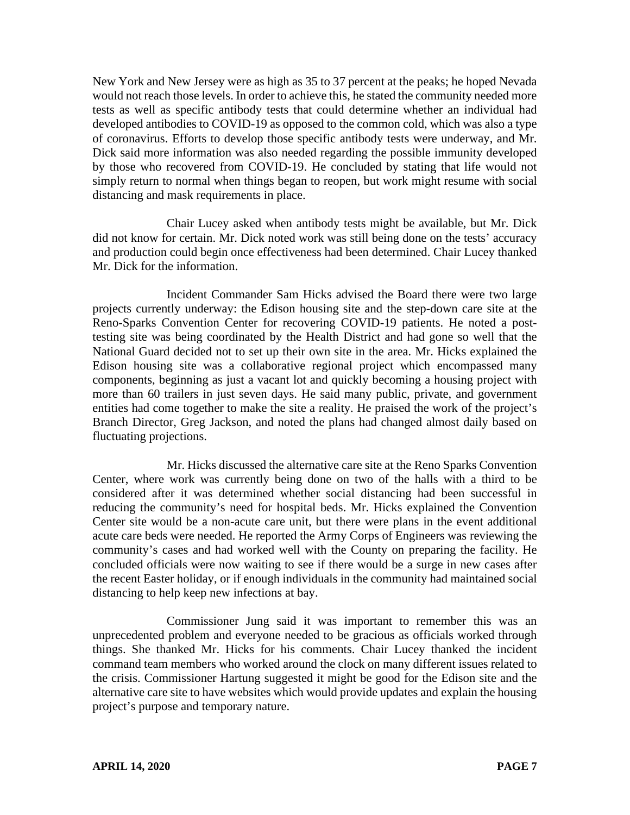New York and New Jersey were as high as 35 to 37 percent at the peaks; he hoped Nevada would not reach those levels. In order to achieve this, he stated the community needed more tests as well as specific antibody tests that could determine whether an individual had developed antibodies to COVID-19 as opposed to the common cold, which was also a type of coronavirus. Efforts to develop those specific antibody tests were underway, and Mr. Dick said more information was also needed regarding the possible immunity developed by those who recovered from COVID-19. He concluded by stating that life would not simply return to normal when things began to reopen, but work might resume with social distancing and mask requirements in place.

Chair Lucey asked when antibody tests might be available, but Mr. Dick did not know for certain. Mr. Dick noted work was still being done on the tests' accuracy and production could begin once effectiveness had been determined. Chair Lucey thanked Mr. Dick for the information.

Incident Commander Sam Hicks advised the Board there were two large projects currently underway: the Edison housing site and the step-down care site at the Reno-Sparks Convention Center for recovering COVID-19 patients. He noted a posttesting site was being coordinated by the Health District and had gone so well that the National Guard decided not to set up their own site in the area. Mr. Hicks explained the Edison housing site was a collaborative regional project which encompassed many components, beginning as just a vacant lot and quickly becoming a housing project with more than 60 trailers in just seven days. He said many public, private, and government entities had come together to make the site a reality. He praised the work of the project's Branch Director, Greg Jackson, and noted the plans had changed almost daily based on fluctuating projections.

Mr. Hicks discussed the alternative care site at the Reno Sparks Convention Center, where work was currently being done on two of the halls with a third to be considered after it was determined whether social distancing had been successful in reducing the community's need for hospital beds. Mr. Hicks explained the Convention Center site would be a non-acute care unit, but there were plans in the event additional acute care beds were needed. He reported the Army Corps of Engineers was reviewing the community's cases and had worked well with the County on preparing the facility. He concluded officials were now waiting to see if there would be a surge in new cases after the recent Easter holiday, or if enough individuals in the community had maintained social distancing to help keep new infections at bay.

Commissioner Jung said it was important to remember this was an unprecedented problem and everyone needed to be gracious as officials worked through things. She thanked Mr. Hicks for his comments. Chair Lucey thanked the incident command team members who worked around the clock on many different issues related to the crisis. Commissioner Hartung suggested it might be good for the Edison site and the alternative care site to have websites which would provide updates and explain the housing project's purpose and temporary nature.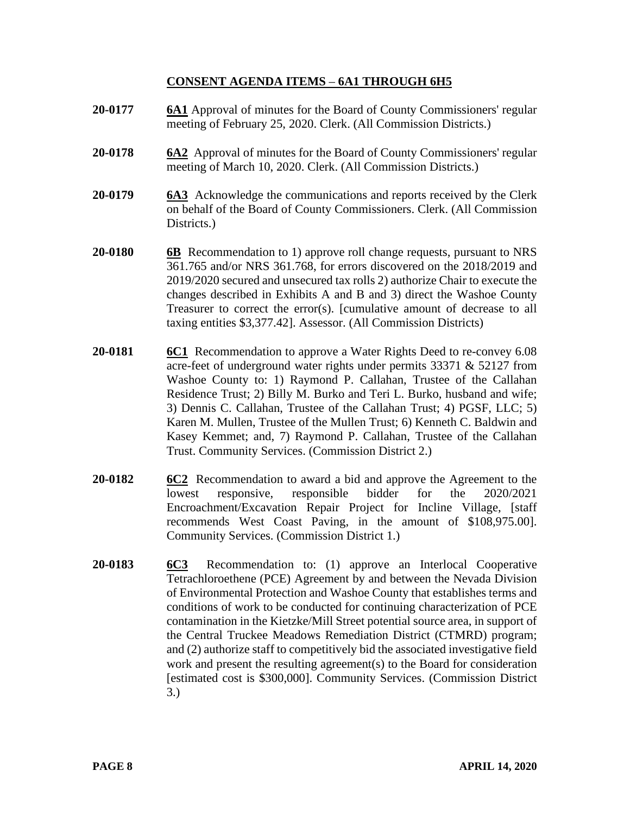# **CONSENT AGENDA ITEMS** – **6A1 THROUGH 6H5**

- **20-0177 6A1** Approval of minutes for the Board of County Commissioners' regular meeting of February 25, 2020. Clerk. (All Commission Districts.)
- **20-0178 6A2** Approval of minutes for the Board of County Commissioners' regular meeting of March 10, 2020. Clerk. (All Commission Districts.)
- **20-0179 6A3** Acknowledge the communications and reports received by the Clerk on behalf of the Board of County Commissioners. Clerk. (All Commission Districts.
- **20-0180 6B** Recommendation to 1) approve roll change requests, pursuant to NRS 361.765 and/or NRS 361.768, for errors discovered on the 2018/2019 and 2019/2020 secured and unsecured tax rolls 2) authorize Chair to execute the changes described in Exhibits A and B and 3) direct the Washoe County Treasurer to correct the error(s). [cumulative amount of decrease to all taxing entities \$3,377.42]. Assessor. (All Commission Districts)
- **20-0181 6C1** Recommendation to approve a Water Rights Deed to re-convey 6.08 acre-feet of underground water rights under permits 33371 & 52127 from Washoe County to: 1) Raymond P. Callahan, Trustee of the Callahan Residence Trust; 2) Billy M. Burko and Teri L. Burko, husband and wife; 3) Dennis C. Callahan, Trustee of the Callahan Trust; 4) PGSF, LLC; 5) Karen M. Mullen, Trustee of the Mullen Trust; 6) Kenneth C. Baldwin and Kasey Kemmet; and, 7) Raymond P. Callahan, Trustee of the Callahan Trust. Community Services. (Commission District 2.)
- **20-0182 6C2** Recommendation to award a bid and approve the Agreement to the lowest responsive, responsible bidder for the 2020/2021 Encroachment/Excavation Repair Project for Incline Village, [staff recommends West Coast Paving, in the amount of \$108,975.00]. Community Services. (Commission District 1.)
- **20-0183 6C3** Recommendation to: (1) approve an Interlocal Cooperative Tetrachloroethene (PCE) Agreement by and between the Nevada Division of Environmental Protection and Washoe County that establishes terms and conditions of work to be conducted for continuing characterization of PCE contamination in the Kietzke/Mill Street potential source area, in support of the Central Truckee Meadows Remediation District (CTMRD) program; and (2) authorize staff to competitively bid the associated investigative field work and present the resulting agreement(s) to the Board for consideration [estimated cost is \$300,000]. Community Services. (Commission District 3.)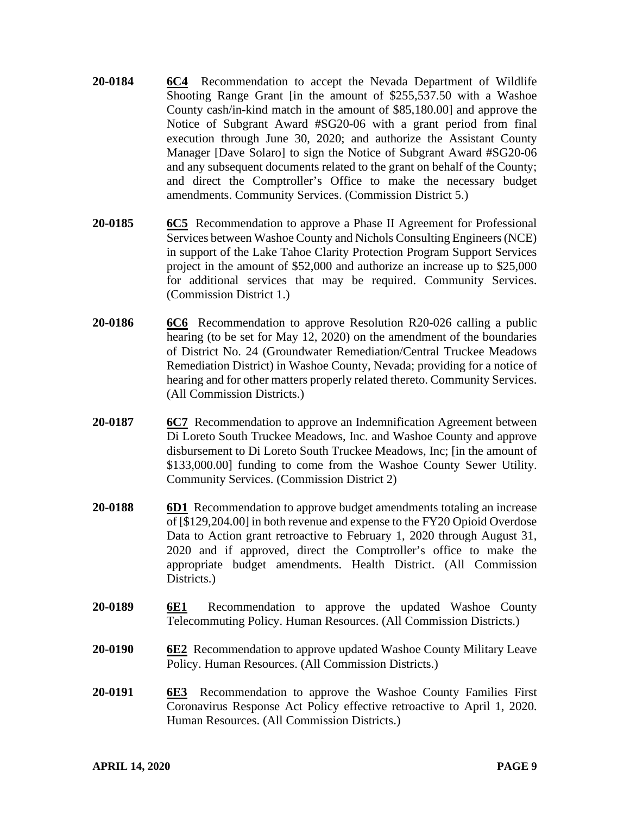- **20-0184 6C4** Recommendation to accept the Nevada Department of Wildlife Shooting Range Grant [in the amount of \$255,537.50 with a Washoe County cash/in-kind match in the amount of \$85,180.00] and approve the Notice of Subgrant Award #SG20-06 with a grant period from final execution through June 30, 2020; and authorize the Assistant County Manager [Dave Solaro] to sign the Notice of Subgrant Award #SG20-06 and any subsequent documents related to the grant on behalf of the County; and direct the Comptroller's Office to make the necessary budget amendments. Community Services. (Commission District 5.)
- **20-0185 6C5** Recommendation to approve a Phase II Agreement for Professional Services between Washoe County and Nichols Consulting Engineers (NCE) in support of the Lake Tahoe Clarity Protection Program Support Services project in the amount of \$52,000 and authorize an increase up to \$25,000 for additional services that may be required. Community Services. (Commission District 1.)
- **20-0186 6C6** Recommendation to approve Resolution R20-026 calling a public hearing (to be set for May 12, 2020) on the amendment of the boundaries of District No. 24 (Groundwater Remediation/Central Truckee Meadows Remediation District) in Washoe County, Nevada; providing for a notice of hearing and for other matters properly related thereto. Community Services. (All Commission Districts.)
- **20-0187 6C7** Recommendation to approve an Indemnification Agreement between Di Loreto South Truckee Meadows, Inc. and Washoe County and approve disbursement to Di Loreto South Truckee Meadows, Inc; [in the amount of \$133,000.00] funding to come from the Washoe County Sewer Utility. Community Services. (Commission District 2)
- **20-0188 6D1** Recommendation to approve budget amendments totaling an increase of [\$129,204.00] in both revenue and expense to the FY20 Opioid Overdose Data to Action grant retroactive to February 1, 2020 through August 31, 2020 and if approved, direct the Comptroller's office to make the appropriate budget amendments. Health District. (All Commission Districts.
- **20-0189 6E1** Recommendation to approve the updated Washoe County Telecommuting Policy. Human Resources. (All Commission Districts.)
- **20-0190 6E2** Recommendation to approve updated Washoe County Military Leave Policy. Human Resources. (All Commission Districts.)
- **20-0191 6E3** Recommendation to approve the Washoe County Families First Coronavirus Response Act Policy effective retroactive to April 1, 2020. Human Resources. (All Commission Districts.)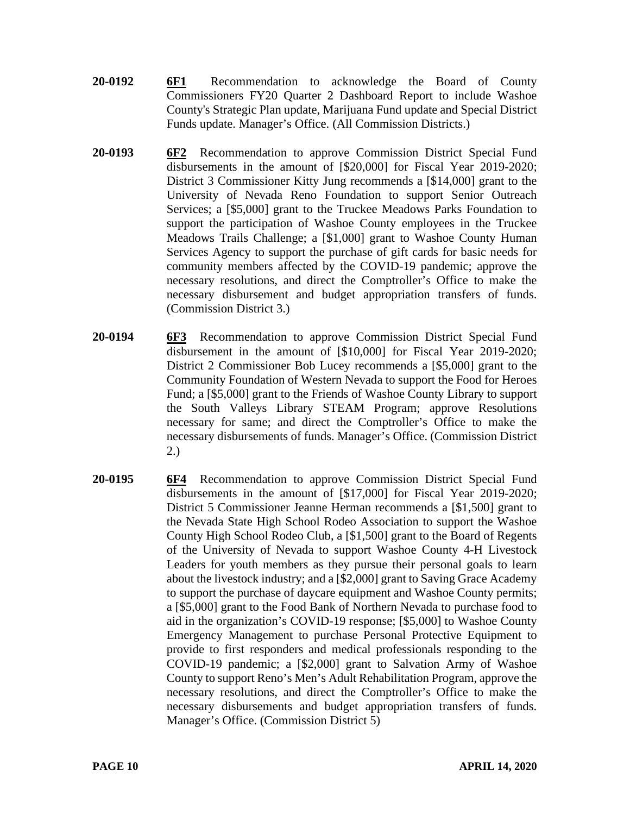- **20-0192 6F1** Recommendation to acknowledge the Board of County Commissioners FY20 Quarter 2 Dashboard Report to include Washoe County's Strategic Plan update, Marijuana Fund update and Special District Funds update. Manager's Office. (All Commission Districts.)
- **20-0193 6F2** Recommendation to approve Commission District Special Fund disbursements in the amount of [\$20,000] for Fiscal Year 2019-2020; District 3 Commissioner Kitty Jung recommends a [\$14,000] grant to the University of Nevada Reno Foundation to support Senior Outreach Services; a [\$5,000] grant to the Truckee Meadows Parks Foundation to support the participation of Washoe County employees in the Truckee Meadows Trails Challenge; a [\$1,000] grant to Washoe County Human Services Agency to support the purchase of gift cards for basic needs for community members affected by the COVID-19 pandemic; approve the necessary resolutions, and direct the Comptroller's Office to make the necessary disbursement and budget appropriation transfers of funds. (Commission District 3.)
- **20-0194 6F3** Recommendation to approve Commission District Special Fund disbursement in the amount of [\$10,000] for Fiscal Year 2019-2020; District 2 Commissioner Bob Lucey recommends a [\$5,000] grant to the Community Foundation of Western Nevada to support the Food for Heroes Fund; a [\$5,000] grant to the Friends of Washoe County Library to support the South Valleys Library STEAM Program; approve Resolutions necessary for same; and direct the Comptroller's Office to make the necessary disbursements of funds. Manager's Office. (Commission District 2.)
- **20-0195 6F4** Recommendation to approve Commission District Special Fund disbursements in the amount of [\$17,000] for Fiscal Year 2019-2020; District 5 Commissioner Jeanne Herman recommends a [\$1,500] grant to the Nevada State High School Rodeo Association to support the Washoe County High School Rodeo Club, a [\$1,500] grant to the Board of Regents of the University of Nevada to support Washoe County 4-H Livestock Leaders for youth members as they pursue their personal goals to learn about the livestock industry; and a [\$2,000] grant to Saving Grace Academy to support the purchase of daycare equipment and Washoe County permits; a [\$5,000] grant to the Food Bank of Northern Nevada to purchase food to aid in the organization's COVID-19 response; [\$5,000] to Washoe County Emergency Management to purchase Personal Protective Equipment to provide to first responders and medical professionals responding to the COVID-19 pandemic; a [\$2,000] grant to Salvation Army of Washoe County to support Reno's Men's Adult Rehabilitation Program, approve the necessary resolutions, and direct the Comptroller's Office to make the necessary disbursements and budget appropriation transfers of funds. Manager's Office. (Commission District 5)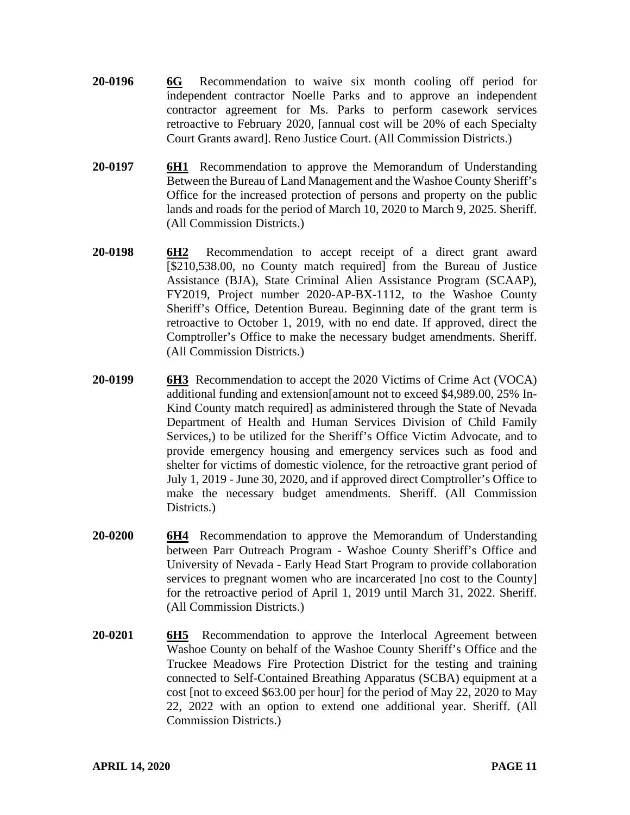- **20-0196 6G** Recommendation to waive six month cooling off period for independent contractor Noelle Parks and to approve an independent contractor agreement for Ms. Parks to perform casework services retroactive to February 2020, [annual cost will be 20% of each Specialty Court Grants award]. Reno Justice Court. (All Commission Districts.)
- **20-0197 6H1** Recommendation to approve the Memorandum of Understanding Between the Bureau of Land Management and the Washoe County Sheriff's Office for the increased protection of persons and property on the public lands and roads for the period of March 10, 2020 to March 9, 2025. Sheriff. (All Commission Districts.)
- **20-0198 6H2** Recommendation to accept receipt of a direct grant award [\$210,538.00, no County match required] from the Bureau of Justice Assistance (BJA), State Criminal Alien Assistance Program (SCAAP), FY2019, Project number 2020-AP-BX-1112, to the Washoe County Sheriff's Office, Detention Bureau. Beginning date of the grant term is retroactive to October 1, 2019, with no end date. If approved, direct the Comptroller's Office to make the necessary budget amendments. Sheriff. (All Commission Districts.)
- **20-0199 6H3** Recommendation to accept the 2020 Victims of Crime Act (VOCA) additional funding and extension[amount not to exceed \$4,989.00, 25% In-Kind County match required] as administered through the State of Nevada Department of Health and Human Services Division of Child Family Services,) to be utilized for the Sheriff's Office Victim Advocate, and to provide emergency housing and emergency services such as food and shelter for victims of domestic violence, for the retroactive grant period of July 1, 2019 - June 30, 2020, and if approved direct Comptroller's Office to make the necessary budget amendments. Sheriff. (All Commission Districts.
- **20-0200 6H4** Recommendation to approve the Memorandum of Understanding between Parr Outreach Program - Washoe County Sheriff's Office and University of Nevada - Early Head Start Program to provide collaboration services to pregnant women who are incarcerated [no cost to the County] for the retroactive period of April 1, 2019 until March 31, 2022. Sheriff. (All Commission Districts.)
- **20-0201 6H5** Recommendation to approve the Interlocal Agreement between Washoe County on behalf of the Washoe County Sheriff's Office and the Truckee Meadows Fire Protection District for the testing and training connected to Self-Contained Breathing Apparatus (SCBA) equipment at a cost [not to exceed \$63.00 per hour] for the period of May 22, 2020 to May 22, 2022 with an option to extend one additional year. Sheriff. (All Commission Districts.)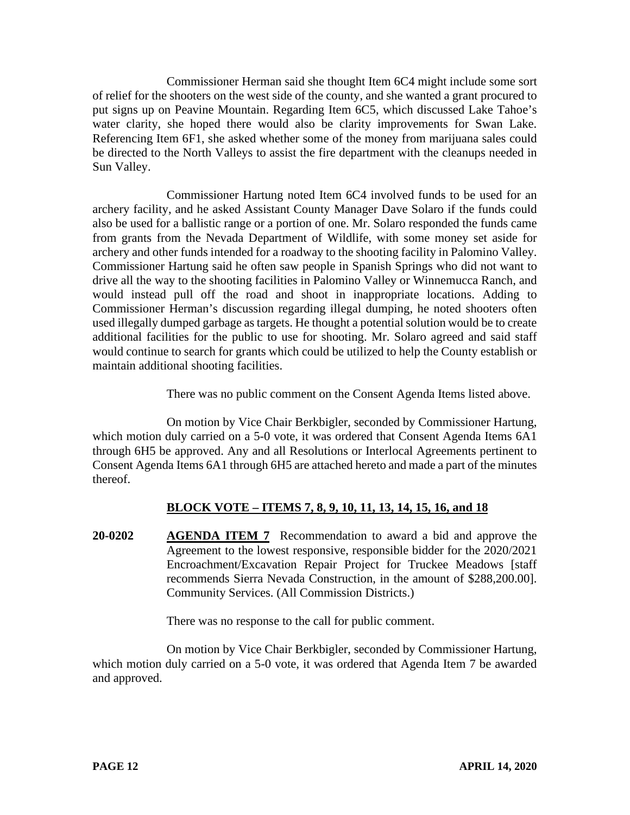Commissioner Herman said she thought Item 6C4 might include some sort of relief for the shooters on the west side of the county, and she wanted a grant procured to put signs up on Peavine Mountain. Regarding Item 6C5, which discussed Lake Tahoe's water clarity, she hoped there would also be clarity improvements for Swan Lake. Referencing Item 6F1, she asked whether some of the money from marijuana sales could be directed to the North Valleys to assist the fire department with the cleanups needed in Sun Valley.

Commissioner Hartung noted Item 6C4 involved funds to be used for an archery facility, and he asked Assistant County Manager Dave Solaro if the funds could also be used for a ballistic range or a portion of one. Mr. Solaro responded the funds came from grants from the Nevada Department of Wildlife, with some money set aside for archery and other funds intended for a roadway to the shooting facility in Palomino Valley. Commissioner Hartung said he often saw people in Spanish Springs who did not want to drive all the way to the shooting facilities in Palomino Valley or Winnemucca Ranch, and would instead pull off the road and shoot in inappropriate locations. Adding to Commissioner Herman's discussion regarding illegal dumping, he noted shooters often used illegally dumped garbage as targets. He thought a potential solution would be to create additional facilities for the public to use for shooting. Mr. Solaro agreed and said staff would continue to search for grants which could be utilized to help the County establish or maintain additional shooting facilities.

There was no public comment on the Consent Agenda Items listed above.

On motion by Vice Chair Berkbigler, seconded by Commissioner Hartung, which motion duly carried on a 5-0 vote, it was ordered that Consent Agenda Items 6A1 through 6H5 be approved. Any and all Resolutions or Interlocal Agreements pertinent to Consent Agenda Items 6A1 through 6H5 are attached hereto and made a part of the minutes thereof.

# **BLOCK VOTE – ITEMS 7, 8, 9, 10, 11, 13, 14, 15, 16, and 18**

**20-0202 AGENDA ITEM 7** Recommendation to award a bid and approve the Agreement to the lowest responsive, responsible bidder for the 2020/2021 Encroachment/Excavation Repair Project for Truckee Meadows [staff recommends Sierra Nevada Construction, in the amount of \$288,200.00]. Community Services. (All Commission Districts.)

There was no response to the call for public comment.

On motion by Vice Chair Berkbigler, seconded by Commissioner Hartung, which motion duly carried on a 5-0 vote, it was ordered that Agenda Item 7 be awarded and approved.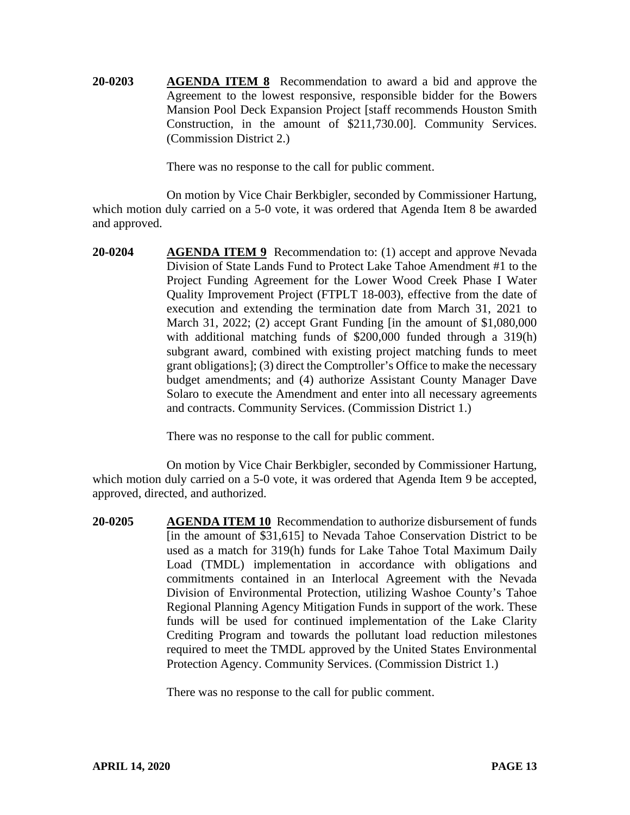**20-0203 AGENDA ITEM 8** Recommendation to award a bid and approve the Agreement to the lowest responsive, responsible bidder for the Bowers Mansion Pool Deck Expansion Project [staff recommends Houston Smith Construction, in the amount of \$211,730.00]. Community Services. (Commission District 2.)

There was no response to the call for public comment.

On motion by Vice Chair Berkbigler, seconded by Commissioner Hartung, which motion duly carried on a 5-0 vote, it was ordered that Agenda Item 8 be awarded and approved.

**20-0204 AGENDA ITEM 9** Recommendation to: (1) accept and approve Nevada Division of State Lands Fund to Protect Lake Tahoe Amendment #1 to the Project Funding Agreement for the Lower Wood Creek Phase I Water Quality Improvement Project (FTPLT 18-003), effective from the date of execution and extending the termination date from March 31, 2021 to March 31, 2022; (2) accept Grant Funding [in the amount of \$1,080,000 with additional matching funds of \$200,000 funded through a 319(h) subgrant award, combined with existing project matching funds to meet grant obligations]; (3) direct the Comptroller's Office to make the necessary budget amendments; and (4) authorize Assistant County Manager Dave Solaro to execute the Amendment and enter into all necessary agreements and contracts. Community Services. (Commission District 1.)

There was no response to the call for public comment.

On motion by Vice Chair Berkbigler, seconded by Commissioner Hartung, which motion duly carried on a 5-0 vote, it was ordered that Agenda Item 9 be accepted, approved, directed, and authorized.

**20-0205 AGENDA ITEM 10** Recommendation to authorize disbursement of funds [in the amount of \$31,615] to Nevada Tahoe Conservation District to be used as a match for 319(h) funds for Lake Tahoe Total Maximum Daily Load (TMDL) implementation in accordance with obligations and commitments contained in an Interlocal Agreement with the Nevada Division of Environmental Protection, utilizing Washoe County's Tahoe Regional Planning Agency Mitigation Funds in support of the work. These funds will be used for continued implementation of the Lake Clarity Crediting Program and towards the pollutant load reduction milestones required to meet the TMDL approved by the United States Environmental Protection Agency. Community Services. (Commission District 1.)

There was no response to the call for public comment.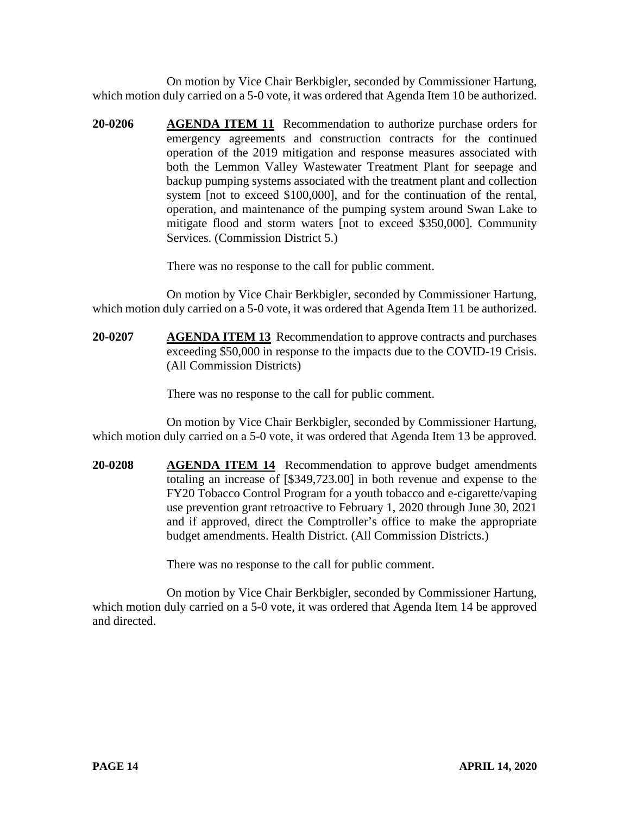On motion by Vice Chair Berkbigler, seconded by Commissioner Hartung, which motion duly carried on a 5-0 vote, it was ordered that Agenda Item 10 be authorized.

**20-0206 AGENDA ITEM 11** Recommendation to authorize purchase orders for emergency agreements and construction contracts for the continued operation of the 2019 mitigation and response measures associated with both the Lemmon Valley Wastewater Treatment Plant for seepage and backup pumping systems associated with the treatment plant and collection system [not to exceed \$100,000], and for the continuation of the rental, operation, and maintenance of the pumping system around Swan Lake to mitigate flood and storm waters [not to exceed \$350,000]. Community Services. (Commission District 5.)

There was no response to the call for public comment.

On motion by Vice Chair Berkbigler, seconded by Commissioner Hartung, which motion duly carried on a 5-0 vote, it was ordered that Agenda Item 11 be authorized.

**20-0207 AGENDA ITEM 13** Recommendation to approve contracts and purchases exceeding \$50,000 in response to the impacts due to the COVID-19 Crisis. (All Commission Districts)

There was no response to the call for public comment.

On motion by Vice Chair Berkbigler, seconded by Commissioner Hartung, which motion duly carried on a 5-0 vote, it was ordered that Agenda Item 13 be approved.

**20-0208 AGENDA ITEM 14** Recommendation to approve budget amendments totaling an increase of [\$349,723.00] in both revenue and expense to the FY20 Tobacco Control Program for a youth tobacco and e-cigarette/vaping use prevention grant retroactive to February 1, 2020 through June 30, 2021 and if approved, direct the Comptroller's office to make the appropriate budget amendments. Health District. (All Commission Districts.)

There was no response to the call for public comment.

On motion by Vice Chair Berkbigler, seconded by Commissioner Hartung, which motion duly carried on a 5-0 vote, it was ordered that Agenda Item 14 be approved and directed.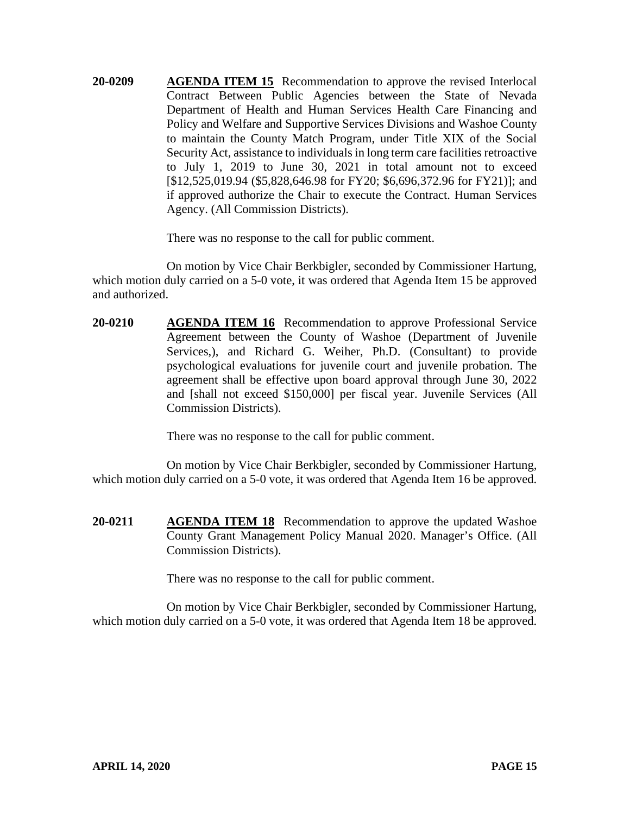**20-0209 AGENDA ITEM 15** Recommendation to approve the revised Interlocal Contract Between Public Agencies between the State of Nevada Department of Health and Human Services Health Care Financing and Policy and Welfare and Supportive Services Divisions and Washoe County to maintain the County Match Program, under Title XIX of the Social Security Act, assistance to individuals in long term care facilities retroactive to July 1, 2019 to June 30, 2021 in total amount not to exceed [\$12,525,019.94 (\$5,828,646.98 for FY20; \$6,696,372.96 for FY21)]; and if approved authorize the Chair to execute the Contract. Human Services Agency. (All Commission Districts).

There was no response to the call for public comment.

On motion by Vice Chair Berkbigler, seconded by Commissioner Hartung, which motion duly carried on a 5-0 vote, it was ordered that Agenda Item 15 be approved and authorized.

**20-0210 AGENDA ITEM 16** Recommendation to approve Professional Service Agreement between the County of Washoe (Department of Juvenile Services,), and Richard G. Weiher, Ph.D. (Consultant) to provide psychological evaluations for juvenile court and juvenile probation. The agreement shall be effective upon board approval through June 30, 2022 and [shall not exceed \$150,000] per fiscal year. Juvenile Services (All Commission Districts).

There was no response to the call for public comment.

On motion by Vice Chair Berkbigler, seconded by Commissioner Hartung, which motion duly carried on a 5-0 vote, it was ordered that Agenda Item 16 be approved.

**20-0211 AGENDA ITEM 18** Recommendation to approve the updated Washoe County Grant Management Policy Manual 2020. Manager's Office. (All Commission Districts).

There was no response to the call for public comment.

On motion by Vice Chair Berkbigler, seconded by Commissioner Hartung, which motion duly carried on a 5-0 vote, it was ordered that Agenda Item 18 be approved.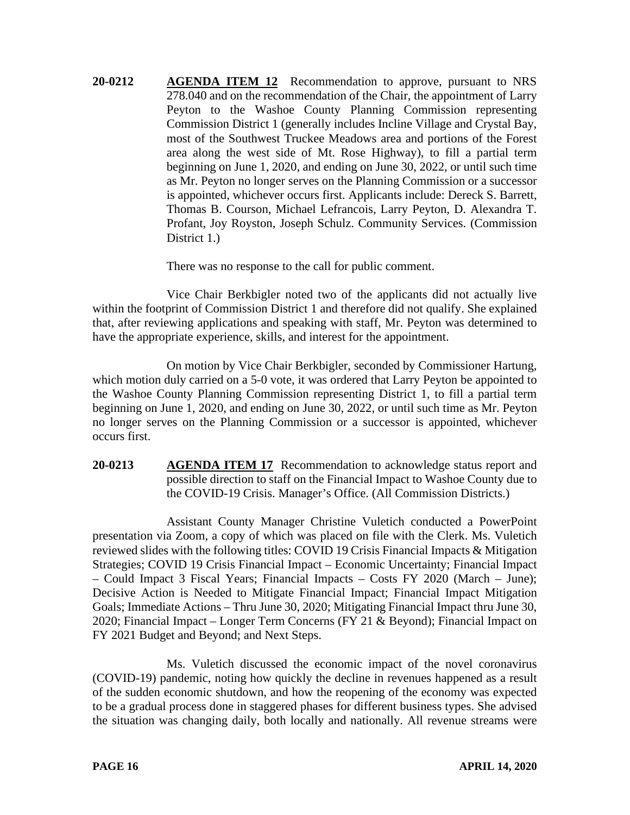**20-0212 AGENDA ITEM 12** Recommendation to approve, pursuant to NRS 278.040 and on the recommendation of the Chair, the appointment of Larry Peyton to the Washoe County Planning Commission representing Commission District 1 (generally includes Incline Village and Crystal Bay, most of the Southwest Truckee Meadows area and portions of the Forest area along the west side of Mt. Rose Highway), to fill a partial term beginning on June 1, 2020, and ending on June 30, 2022, or until such time as Mr. Peyton no longer serves on the Planning Commission or a successor is appointed, whichever occurs first. Applicants include: Dereck S. Barrett, Thomas B. Courson, Michael Lefrancois, Larry Peyton, D. Alexandra T. Profant, Joy Royston, Joseph Schulz. Community Services. (Commission District 1.)

There was no response to the call for public comment.

Vice Chair Berkbigler noted two of the applicants did not actually live within the footprint of Commission District 1 and therefore did not qualify. She explained that, after reviewing applications and speaking with staff, Mr. Peyton was determined to have the appropriate experience, skills, and interest for the appointment.

On motion by Vice Chair Berkbigler, seconded by Commissioner Hartung, which motion duly carried on a 5-0 vote, it was ordered that Larry Peyton be appointed to the Washoe County Planning Commission representing District 1, to fill a partial term beginning on June 1, 2020, and ending on June 30, 2022, or until such time as Mr. Peyton no longer serves on the Planning Commission or a successor is appointed, whichever occurs first.

**20-0213 AGENDA ITEM 17** Recommendation to acknowledge status report and possible direction to staff on the Financial Impact to Washoe County due to the COVID-19 Crisis. Manager's Office. (All Commission Districts.)

Assistant County Manager Christine Vuletich conducted a PowerPoint presentation via Zoom, a copy of which was placed on file with the Clerk. Ms. Vuletich reviewed slides with the following titles: COVID 19 Crisis Financial Impacts & Mitigation Strategies; COVID 19 Crisis Financial Impact – Economic Uncertainty; Financial Impact – Could Impact 3 Fiscal Years; Financial Impacts – Costs FY 2020 (March – June); Decisive Action is Needed to Mitigate Financial Impact; Financial Impact Mitigation Goals; Immediate Actions – Thru June 30, 2020; Mitigating Financial Impact thru June 30, 2020; Financial Impact – Longer Term Concerns (FY 21 & Beyond); Financial Impact on FY 2021 Budget and Beyond; and Next Steps.

Ms. Vuletich discussed the economic impact of the novel coronavirus (COVID-19) pandemic, noting how quickly the decline in revenues happened as a result of the sudden economic shutdown, and how the reopening of the economy was expected to be a gradual process done in staggered phases for different business types. She advised the situation was changing daily, both locally and nationally. All revenue streams were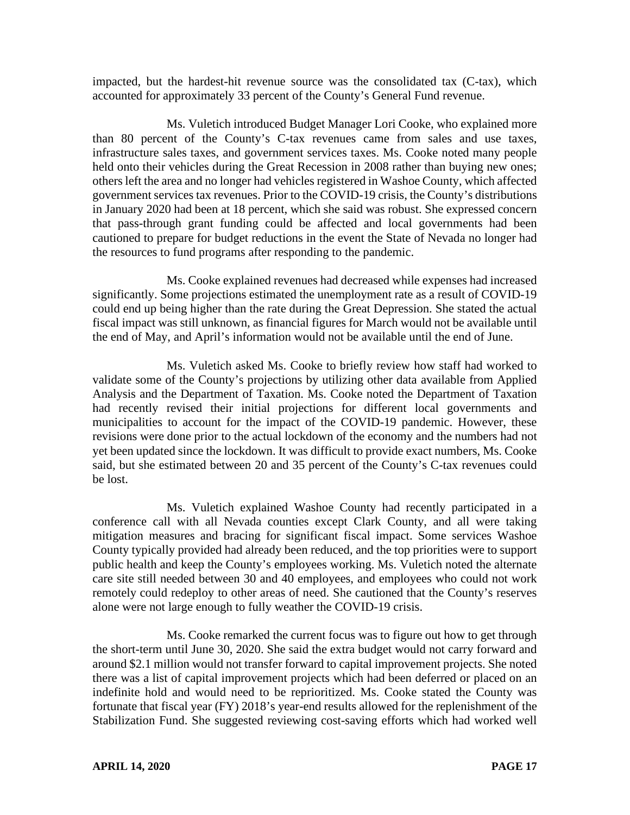impacted, but the hardest-hit revenue source was the consolidated tax (C-tax), which accounted for approximately 33 percent of the County's General Fund revenue.

Ms. Vuletich introduced Budget Manager Lori Cooke, who explained more than 80 percent of the County's C-tax revenues came from sales and use taxes, infrastructure sales taxes, and government services taxes. Ms. Cooke noted many people held onto their vehicles during the Great Recession in 2008 rather than buying new ones; others left the area and no longer had vehicles registered in Washoe County, which affected government services tax revenues. Prior to the COVID-19 crisis, the County's distributions in January 2020 had been at 18 percent, which she said was robust. She expressed concern that pass-through grant funding could be affected and local governments had been cautioned to prepare for budget reductions in the event the State of Nevada no longer had the resources to fund programs after responding to the pandemic.

Ms. Cooke explained revenues had decreased while expenses had increased significantly. Some projections estimated the unemployment rate as a result of COVID-19 could end up being higher than the rate during the Great Depression. She stated the actual fiscal impact was still unknown, as financial figures for March would not be available until the end of May, and April's information would not be available until the end of June.

Ms. Vuletich asked Ms. Cooke to briefly review how staff had worked to validate some of the County's projections by utilizing other data available from Applied Analysis and the Department of Taxation. Ms. Cooke noted the Department of Taxation had recently revised their initial projections for different local governments and municipalities to account for the impact of the COVID-19 pandemic. However, these revisions were done prior to the actual lockdown of the economy and the numbers had not yet been updated since the lockdown. It was difficult to provide exact numbers, Ms. Cooke said, but she estimated between 20 and 35 percent of the County's C-tax revenues could be lost.

Ms. Vuletich explained Washoe County had recently participated in a conference call with all Nevada counties except Clark County, and all were taking mitigation measures and bracing for significant fiscal impact. Some services Washoe County typically provided had already been reduced, and the top priorities were to support public health and keep the County's employees working. Ms. Vuletich noted the alternate care site still needed between 30 and 40 employees, and employees who could not work remotely could redeploy to other areas of need. She cautioned that the County's reserves alone were not large enough to fully weather the COVID-19 crisis.

Ms. Cooke remarked the current focus was to figure out how to get through the short-term until June 30, 2020. She said the extra budget would not carry forward and around \$2.1 million would not transfer forward to capital improvement projects. She noted there was a list of capital improvement projects which had been deferred or placed on an indefinite hold and would need to be reprioritized. Ms. Cooke stated the County was fortunate that fiscal year (FY) 2018's year-end results allowed for the replenishment of the Stabilization Fund. She suggested reviewing cost-saving efforts which had worked well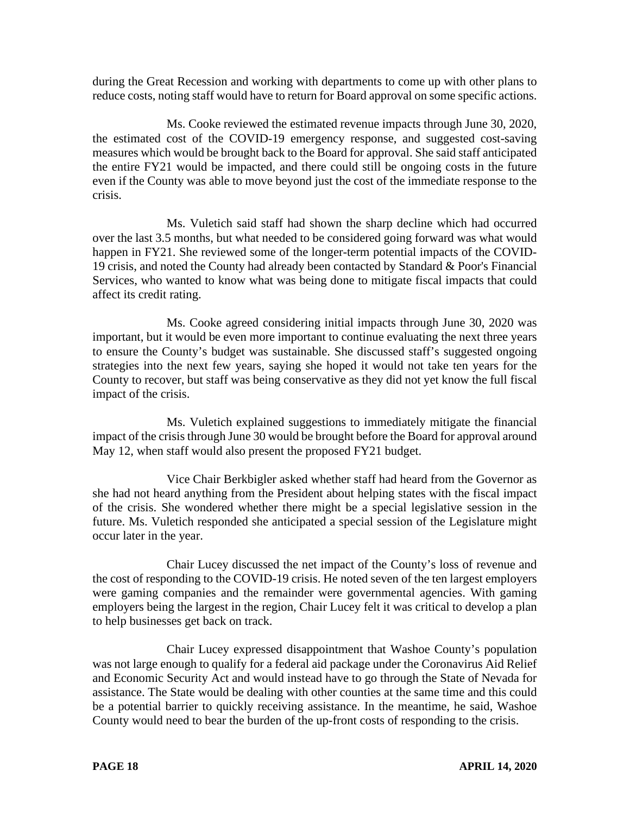during the Great Recession and working with departments to come up with other plans to reduce costs, noting staff would have to return for Board approval on some specific actions.

Ms. Cooke reviewed the estimated revenue impacts through June 30, 2020, the estimated cost of the COVID-19 emergency response, and suggested cost-saving measures which would be brought back to the Board for approval. She said staff anticipated the entire FY21 would be impacted, and there could still be ongoing costs in the future even if the County was able to move beyond just the cost of the immediate response to the crisis.

Ms. Vuletich said staff had shown the sharp decline which had occurred over the last 3.5 months, but what needed to be considered going forward was what would happen in FY21. She reviewed some of the longer-term potential impacts of the COVID-19 crisis, and noted the County had already been contacted by Standard & Poor's Financial Services, who wanted to know what was being done to mitigate fiscal impacts that could affect its credit rating.

Ms. Cooke agreed considering initial impacts through June 30, 2020 was important, but it would be even more important to continue evaluating the next three years to ensure the County's budget was sustainable. She discussed staff's suggested ongoing strategies into the next few years, saying she hoped it would not take ten years for the County to recover, but staff was being conservative as they did not yet know the full fiscal impact of the crisis.

Ms. Vuletich explained suggestions to immediately mitigate the financial impact of the crisis through June 30 would be brought before the Board for approval around May 12, when staff would also present the proposed FY21 budget.

Vice Chair Berkbigler asked whether staff had heard from the Governor as she had not heard anything from the President about helping states with the fiscal impact of the crisis. She wondered whether there might be a special legislative session in the future. Ms. Vuletich responded she anticipated a special session of the Legislature might occur later in the year.

Chair Lucey discussed the net impact of the County's loss of revenue and the cost of responding to the COVID-19 crisis. He noted seven of the ten largest employers were gaming companies and the remainder were governmental agencies. With gaming employers being the largest in the region, Chair Lucey felt it was critical to develop a plan to help businesses get back on track.

Chair Lucey expressed disappointment that Washoe County's population was not large enough to qualify for a federal aid package under the Coronavirus Aid Relief and Economic Security Act and would instead have to go through the State of Nevada for assistance. The State would be dealing with other counties at the same time and this could be a potential barrier to quickly receiving assistance. In the meantime, he said, Washoe County would need to bear the burden of the up-front costs of responding to the crisis.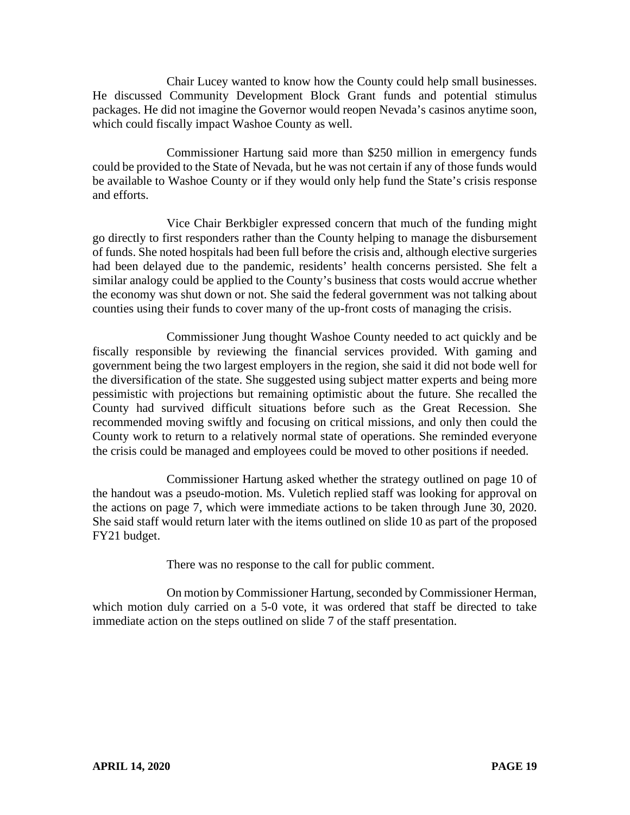Chair Lucey wanted to know how the County could help small businesses. He discussed Community Development Block Grant funds and potential stimulus packages. He did not imagine the Governor would reopen Nevada's casinos anytime soon, which could fiscally impact Washoe County as well.

Commissioner Hartung said more than \$250 million in emergency funds could be provided to the State of Nevada, but he was not certain if any of those funds would be available to Washoe County or if they would only help fund the State's crisis response and efforts.

Vice Chair Berkbigler expressed concern that much of the funding might go directly to first responders rather than the County helping to manage the disbursement of funds. She noted hospitals had been full before the crisis and, although elective surgeries had been delayed due to the pandemic, residents' health concerns persisted. She felt a similar analogy could be applied to the County's business that costs would accrue whether the economy was shut down or not. She said the federal government was not talking about counties using their funds to cover many of the up-front costs of managing the crisis.

Commissioner Jung thought Washoe County needed to act quickly and be fiscally responsible by reviewing the financial services provided. With gaming and government being the two largest employers in the region, she said it did not bode well for the diversification of the state. She suggested using subject matter experts and being more pessimistic with projections but remaining optimistic about the future. She recalled the County had survived difficult situations before such as the Great Recession. She recommended moving swiftly and focusing on critical missions, and only then could the County work to return to a relatively normal state of operations. She reminded everyone the crisis could be managed and employees could be moved to other positions if needed.

Commissioner Hartung asked whether the strategy outlined on page 10 of the handout was a pseudo-motion. Ms. Vuletich replied staff was looking for approval on the actions on page 7, which were immediate actions to be taken through June 30, 2020. She said staff would return later with the items outlined on slide 10 as part of the proposed FY21 budget.

There was no response to the call for public comment.

On motion by Commissioner Hartung, seconded by Commissioner Herman, which motion duly carried on a 5-0 vote, it was ordered that staff be directed to take immediate action on the steps outlined on slide 7 of the staff presentation.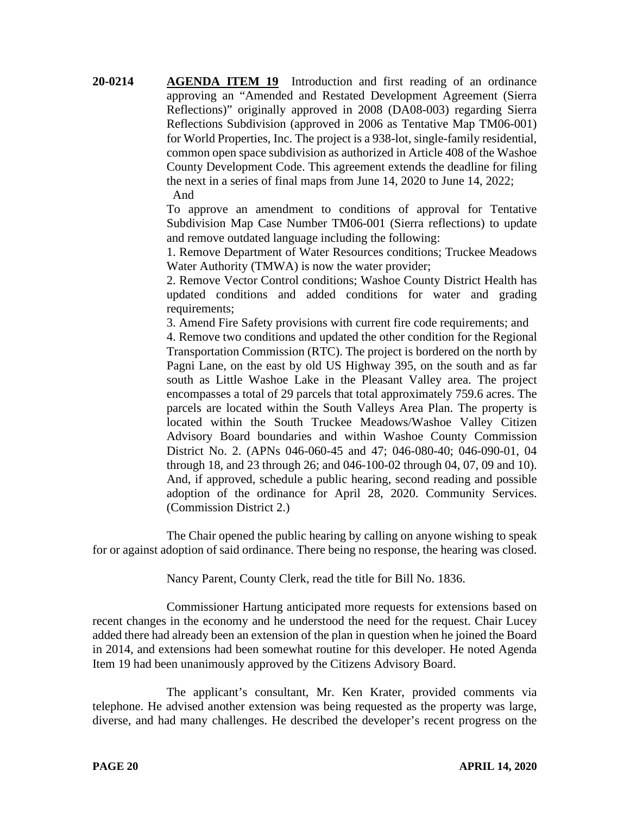**20-0214 AGENDA ITEM 19** Introduction and first reading of an ordinance approving an "Amended and Restated Development Agreement (Sierra Reflections)" originally approved in 2008 (DA08-003) regarding Sierra Reflections Subdivision (approved in 2006 as Tentative Map TM06-001) for World Properties, Inc. The project is a 938-lot, single-family residential, common open space subdivision as authorized in Article 408 of the Washoe County Development Code. This agreement extends the deadline for filing the next in a series of final maps from June 14, 2020 to June 14, 2022; And

> To approve an amendment to conditions of approval for Tentative Subdivision Map Case Number TM06-001 (Sierra reflections) to update and remove outdated language including the following:

> 1. Remove Department of Water Resources conditions; Truckee Meadows Water Authority (TMWA) is now the water provider;

> 2. Remove Vector Control conditions; Washoe County District Health has updated conditions and added conditions for water and grading requirements;

3. Amend Fire Safety provisions with current fire code requirements; and

4. Remove two conditions and updated the other condition for the Regional Transportation Commission (RTC). The project is bordered on the north by Pagni Lane, on the east by old US Highway 395, on the south and as far south as Little Washoe Lake in the Pleasant Valley area. The project encompasses a total of 29 parcels that total approximately 759.6 acres. The parcels are located within the South Valleys Area Plan. The property is located within the South Truckee Meadows/Washoe Valley Citizen Advisory Board boundaries and within Washoe County Commission District No. 2. (APNs 046-060-45 and 47; 046-080-40; 046-090-01, 04 through 18, and 23 through 26; and 046-100-02 through 04, 07, 09 and 10). And, if approved, schedule a public hearing, second reading and possible adoption of the ordinance for April 28, 2020. Community Services. (Commission District 2.)

The Chair opened the public hearing by calling on anyone wishing to speak for or against adoption of said ordinance. There being no response, the hearing was closed.

Nancy Parent, County Clerk, read the title for Bill No. 1836.

Commissioner Hartung anticipated more requests for extensions based on recent changes in the economy and he understood the need for the request. Chair Lucey added there had already been an extension of the plan in question when he joined the Board in 2014, and extensions had been somewhat routine for this developer. He noted Agenda Item 19 had been unanimously approved by the Citizens Advisory Board.

The applicant's consultant, Mr. Ken Krater, provided comments via telephone. He advised another extension was being requested as the property was large, diverse, and had many challenges. He described the developer's recent progress on the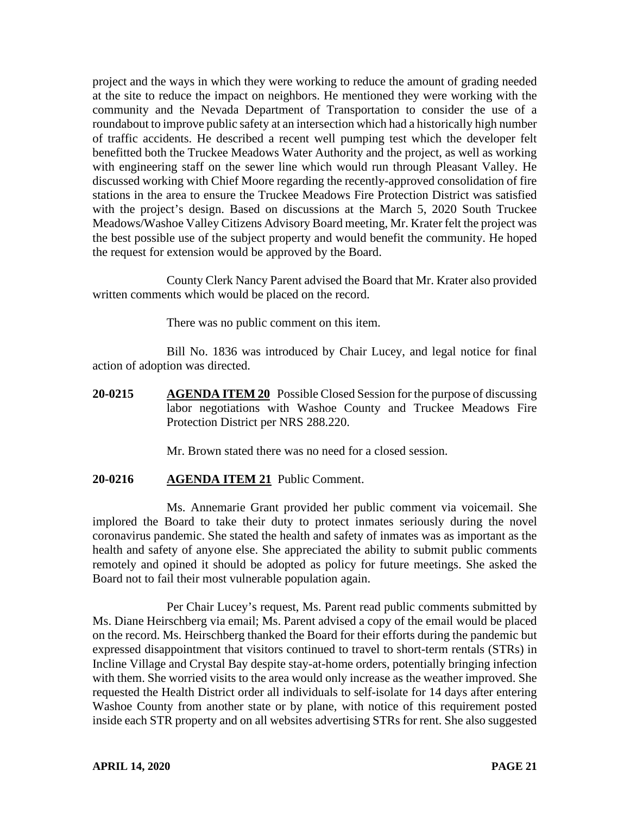project and the ways in which they were working to reduce the amount of grading needed at the site to reduce the impact on neighbors. He mentioned they were working with the community and the Nevada Department of Transportation to consider the use of a roundabout to improve public safety at an intersection which had a historically high number of traffic accidents. He described a recent well pumping test which the developer felt benefitted both the Truckee Meadows Water Authority and the project, as well as working with engineering staff on the sewer line which would run through Pleasant Valley. He discussed working with Chief Moore regarding the recently-approved consolidation of fire stations in the area to ensure the Truckee Meadows Fire Protection District was satisfied with the project's design. Based on discussions at the March 5, 2020 South Truckee Meadows/Washoe Valley Citizens Advisory Board meeting, Mr. Krater felt the project was the best possible use of the subject property and would benefit the community. He hoped the request for extension would be approved by the Board.

County Clerk Nancy Parent advised the Board that Mr. Krater also provided written comments which would be placed on the record.

There was no public comment on this item.

Bill No. 1836 was introduced by Chair Lucey, and legal notice for final action of adoption was directed.

**20-0215 AGENDA ITEM 20** Possible Closed Session for the purpose of discussing labor negotiations with Washoe County and Truckee Meadows Fire Protection District per NRS 288.220.

Mr. Brown stated there was no need for a closed session.

## **20-0216 AGENDA ITEM 21** Public Comment.

Ms. Annemarie Grant provided her public comment via voicemail. She implored the Board to take their duty to protect inmates seriously during the novel coronavirus pandemic. She stated the health and safety of inmates was as important as the health and safety of anyone else. She appreciated the ability to submit public comments remotely and opined it should be adopted as policy for future meetings. She asked the Board not to fail their most vulnerable population again.

Per Chair Lucey's request, Ms. Parent read public comments submitted by Ms. Diane Heirschberg via email; Ms. Parent advised a copy of the email would be placed on the record. Ms. Heirschberg thanked the Board for their efforts during the pandemic but expressed disappointment that visitors continued to travel to short-term rentals (STRs) in Incline Village and Crystal Bay despite stay-at-home orders, potentially bringing infection with them. She worried visits to the area would only increase as the weather improved. She requested the Health District order all individuals to self-isolate for 14 days after entering Washoe County from another state or by plane, with notice of this requirement posted inside each STR property and on all websites advertising STRs for rent. She also suggested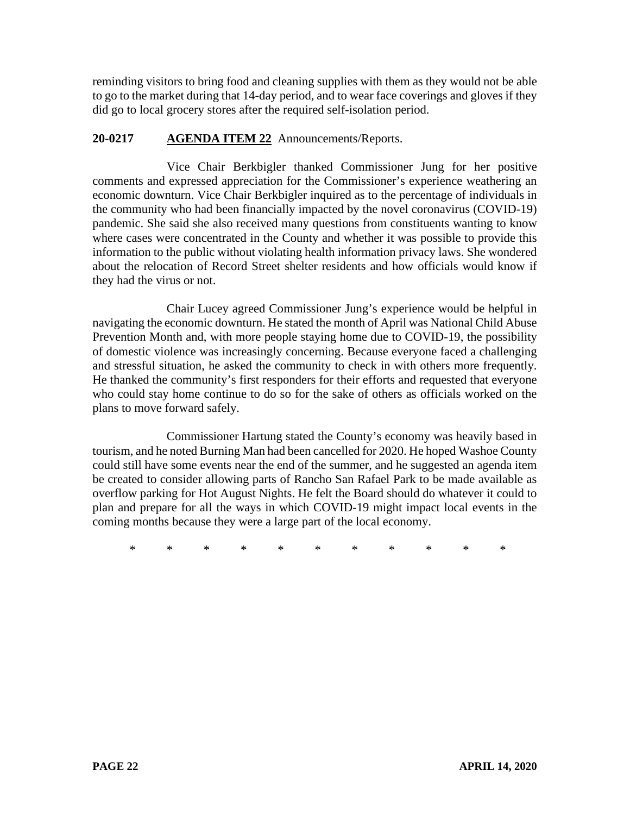reminding visitors to bring food and cleaning supplies with them as they would not be able to go to the market during that 14-day period, and to wear face coverings and gloves if they did go to local grocery stores after the required self-isolation period.

# **20-0217 AGENDA ITEM 22** Announcements/Reports.

Vice Chair Berkbigler thanked Commissioner Jung for her positive comments and expressed appreciation for the Commissioner's experience weathering an economic downturn. Vice Chair Berkbigler inquired as to the percentage of individuals in the community who had been financially impacted by the novel coronavirus (COVID-19) pandemic. She said she also received many questions from constituents wanting to know where cases were concentrated in the County and whether it was possible to provide this information to the public without violating health information privacy laws. She wondered about the relocation of Record Street shelter residents and how officials would know if they had the virus or not.

Chair Lucey agreed Commissioner Jung's experience would be helpful in navigating the economic downturn. He stated the month of April was National Child Abuse Prevention Month and, with more people staying home due to COVID-19, the possibility of domestic violence was increasingly concerning. Because everyone faced a challenging and stressful situation, he asked the community to check in with others more frequently. He thanked the community's first responders for their efforts and requested that everyone who could stay home continue to do so for the sake of others as officials worked on the plans to move forward safely.

Commissioner Hartung stated the County's economy was heavily based in tourism, and he noted Burning Man had been cancelled for 2020. He hoped Washoe County could still have some events near the end of the summer, and he suggested an agenda item be created to consider allowing parts of Rancho San Rafael Park to be made available as overflow parking for Hot August Nights. He felt the Board should do whatever it could to plan and prepare for all the ways in which COVID-19 might impact local events in the coming months because they were a large part of the local economy.

\* \* \* \* \* \* \* \* \* \* \*